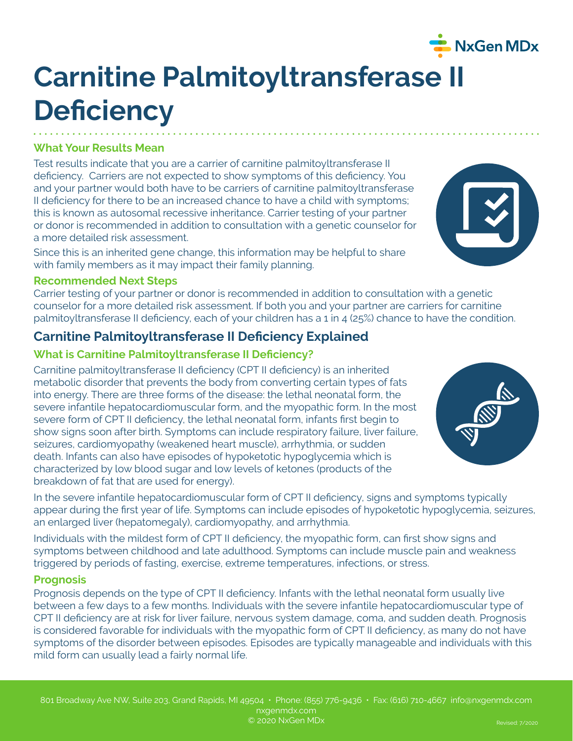# **Carnitine Palmitoyltransferase II Deficiency**

#### **What Your Results Mean**

Test results indicate that you are a carrier of carnitine palmitoyltransferase II deficiency. Carriers are not expected to show symptoms of this deficiency. You and your partner would both have to be carriers of carnitine palmitoyltransferase II deficiency for there to be an increased chance to have a child with symptoms; this is known as autosomal recessive inheritance. Carrier testing of your partner or donor is recommended in addition to consultation with a genetic counselor for a more detailed risk assessment.

Since this is an inherited gene change, this information may be helpful to share with family members as it may impact their family planning.

#### **Recommended Next Steps**

Carrier testing of your partner or donor is recommended in addition to consultation with a genetic counselor for a more detailed risk assessment. If both you and your partner are carriers for carnitine palmitoyltransferase II deficiency, each of your children has a 1 in 4 (25%) chance to have the condition.

## **Carnitine Palmitoyltransferase II Deficiency Explained**

### **What is Carnitine Palmitoyltransferase II Deficiency?**

Carnitine palmitoyltransferase II deficiency (CPT II deficiency) is an inherited metabolic disorder that prevents the body from converting certain types of fats into energy. There are three forms of the disease: the lethal neonatal form, the severe infantile hepatocardiomuscular form, and the myopathic form. In the most severe form of CPT II deficiency, the lethal neonatal form, infants first begin to show signs soon after birth. Symptoms can include respiratory failure, liver failure, seizures, cardiomyopathy (weakened heart muscle), arrhythmia, or sudden death. Infants can also have episodes of hypoketotic hypoglycemia which is characterized by low blood sugar and low levels of ketones (products of the breakdown of fat that are used for energy).

In the severe infantile hepatocardiomuscular form of CPT II deficiency, signs and symptoms typically appear during the first year of life. Symptoms can include episodes of hypoketotic hypoglycemia, seizures, an enlarged liver (hepatomegaly), cardiomyopathy, and arrhythmia.

Individuals with the mildest form of CPT II deficiency, the myopathic form, can first show signs and symptoms between childhood and late adulthood. Symptoms can include muscle pain and weakness triggered by periods of fasting, exercise, extreme temperatures, infections, or stress.

#### **Prognosis**

Prognosis depends on the type of CPT II deficiency. Infants with the lethal neonatal form usually live between a few days to a few months. Individuals with the severe infantile hepatocardiomuscular type of CPT II deficiency are at risk for liver failure, nervous system damage, coma, and sudden death. Prognosis is considered favorable for individuals with the myopathic form of CPT II deficiency, as many do not have symptoms of the disorder between episodes. Episodes are typically manageable and individuals with this mild form can usually lead a fairly normal life.